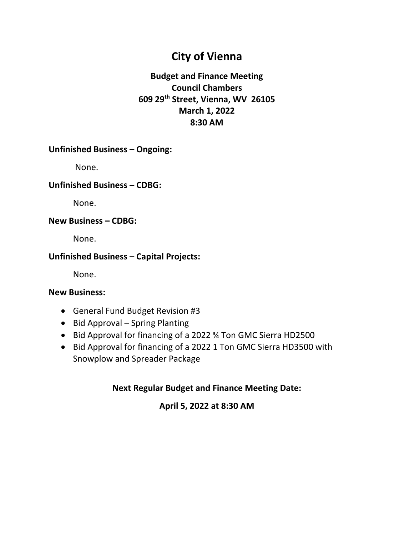## **City of Vienna**

### **Budget and Finance Meeting Council Chambers 609 29th Street, Vienna, WV 26105 March 1, 2022 8:30 AM**

#### **Unfinished Business – Ongoing:**

None.

#### **Unfinished Business – CDBG:**

None.

#### **New Business – CDBG:**

None.

#### **Unfinished Business – Capital Projects:**

None.

#### **New Business:**

- General Fund Budget Revision #3
- Bid Approval Spring Planting
- Bid Approval for financing of a 2022 ¾ Ton GMC Sierra HD2500
- Bid Approval for financing of a 2022 1 Ton GMC Sierra HD3500 with Snowplow and Spreader Package

#### **Next Regular Budget and Finance Meeting Date:**

#### **April 5, 2022 at 8:30 AM**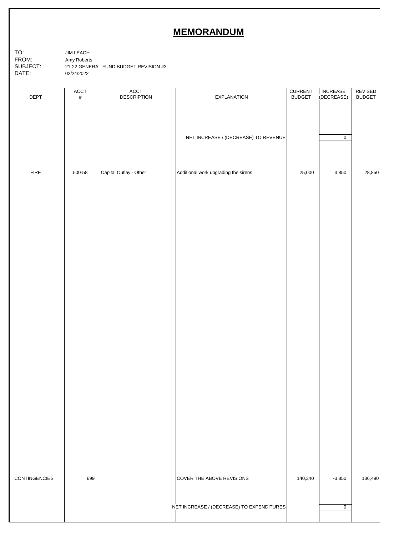### **MEMORANDUM**

| TO:      | JIM LEACH                             |
|----------|---------------------------------------|
| FROM:    | Amy Roberts                           |
| SUBJECT: | 21-22 GENERAL FUND BUDGET REVISION #3 |
| DATF:    | 02/24/2022                            |

| <b>DEPT</b>   | $\mathsf{ACCT}$<br>$\#$ | $\mathsf{ACCT}$<br><b>DESCRIPTION</b> | <b>EXPLANATION</b>                        | <b>CURRENT</b><br><b>BUDGET</b> | <b>INCREASE</b><br>(DECREASE) | REVISED<br><b>BUDGET</b> |
|---------------|-------------------------|---------------------------------------|-------------------------------------------|---------------------------------|-------------------------------|--------------------------|
|               |                         |                                       | NET INCREASE / (DECREASE) TO REVENUE      |                                 | $\overline{0}$                |                          |
| ${\sf FIRE}$  | 500-58                  | Capital Outlay - Other                | Additional work upgrading the sirens      | 25,000                          | 3,850                         | 28,850                   |
|               |                         |                                       |                                           |                                 |                               |                          |
|               |                         |                                       |                                           |                                 |                               |                          |
|               |                         |                                       |                                           |                                 |                               |                          |
|               |                         |                                       |                                           |                                 |                               |                          |
|               |                         |                                       |                                           |                                 |                               |                          |
|               |                         |                                       |                                           |                                 |                               |                          |
|               |                         |                                       |                                           |                                 |                               |                          |
|               |                         |                                       |                                           |                                 |                               |                          |
|               |                         |                                       |                                           |                                 |                               |                          |
|               |                         |                                       |                                           |                                 |                               |                          |
|               |                         |                                       |                                           |                                 |                               |                          |
| CONTINGENCIES | 699                     |                                       | COVER THE ABOVE REVISIONS                 | 140,340                         | $-3,850$                      | 136,490                  |
|               |                         |                                       | NET INCREASE / (DECREASE) TO EXPENDITURES |                                 | 0                             |                          |
|               |                         |                                       |                                           |                                 |                               |                          |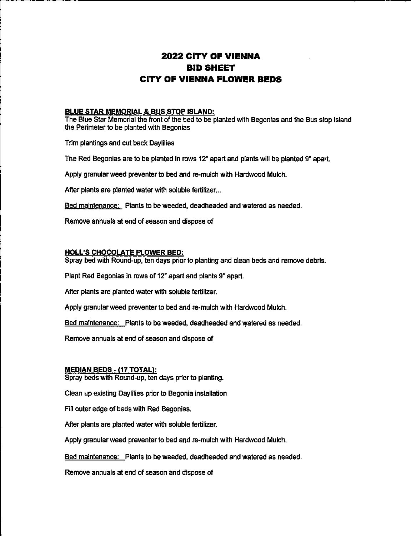### **2022 CITY OF VIENNA BID SHEET CITY OF VIENNA FLOWER BEDS**

#### **BLUE STAR MEMORIAL & BUS STOP ISLAND:**

The Blue Star Memorial the front of the bed to be planted with Begonias and the Bus stop island the Perimeter to be planted with Begonias

Trim plantings and cut back Daylilies

The Red Begonias are to be planted in rows 12" apart and plants will be planted 9" apart.

Apply granular weed preventer to bed and re-mulch with Hardwood Mulch.

After plants are planted water with soluble fertilizer...

Bed maintenance: Plants to be weeded, deadheaded and watered as needed.

Remove annuals at end of season and dispose of

#### **HOLL'S CHOCOLATE FLOWER BED:**

Spray bed with Round-up, ten days prior to planting and clean beds and remove debris.

Plant Red Begonias in rows of 12" apart and plants 9" apart.

After plants are planted water with soluble fertilizer.

Apply granular weed preventer to bed and re-mulch with Hardwood Mulch.

Bed maintenance: Plants to be weeded, deadheaded and watered as needed.

Remove annuals at end of season and dispose of

#### **MEDIAN BEDS - (17 TOTAL):**

Spray beds with Round-up, ten days prior to planting.

Clean up existing Daylilies prior to Begonia installation

Fill outer edge of beds with Red Begonias.

After plants are planted water with soluble fertilizer.

Apply granular weed preventer to bed and re-mulch with Hardwood Mulch.

Bed maintenance: Plants to be weeded, deadheaded and watered as needed.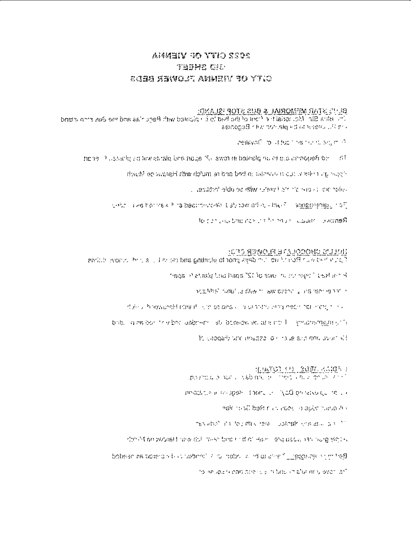#### 2022 CITY GF VIENS AN TEEMS CIE EGER SEWOLT AVERIT 30 YTIG

#### <u>EUSAJE AOTE EUS & JAIROMEM ANTE SUB</u>

The lating Star Moundratistic front of the had to bis planted with Renchias and the Bus strip lated. a proposed in the profit skill be contacted.

pelliva@ to latitud this hord, sig milit

indidendences allo con planted in rows. (2) appropriate that the transposed in energy  $\beta$  1

Popular and the visit of eventual or bed on the multipline with Haranva on Murch.

conduction of the three there with so did not to the

Ten uarbeiten Text in abecumented it abitawled in what is agreement in the

Renione mudual reports to start and another to of

thegal Pratitated bike place "Stillo alway in any report LesH in the

resulting mobile down aw pains you give given

and there are robert comparisons and the comparisons that provided a substitute to

bids, in his bon tellulars laabsteer listu below ou at a net link grounstraged of is

Telleboard one available or insustance of theodoxical

#### TOATOT PPL BURE AND P

Upourtous of service visibility of the transportation of the

invariance in supply into the "NCO principalities are

#### Final muscle sode in a Red Sering and

"Contact any Name, are unified block and yet

donation poughett any dot mest brid in did learn long pada has nong vigory

Bettimine leaving it this to be it in object it in the disclusion as headed.

The served in ears acended in this implication shower left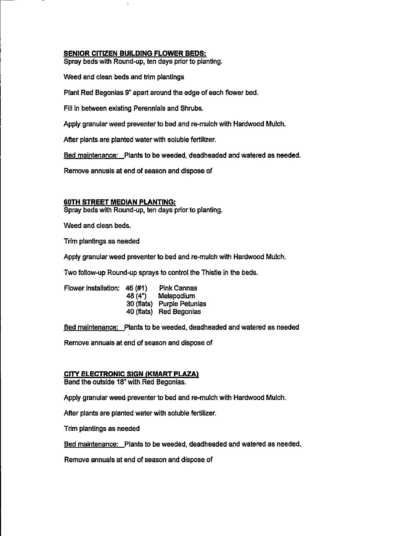#### **SENIOR CITIZEN BUILDING FLOWER BEDS:**

Spray beds with Round-up, ten days prior to planting.

Weed and clean beds and trim plantings

Plant Red Begonias 9" apart around the edge of each flower bed.

Fill in between existing Perennials and Shrubs.

Apply granular weed preventer to bed and re-mulch with Hardwood Mulch.

After plants are planted water with soluble fertilizer.

Bed maintenance: Plants to be weeded, deadheaded and watered as needed.

Remove annuals at end of season and dispose of

#### **60TH STREET MEDIAN PLANTING:**

Spray beds with Round-up, ten days prior to planting.

Weed and clean beds.

Trim plantings as needed

Apply granular weed preventer to bed and re-mulch with Hardwood Mulch.

Two follow-up Round-up sprays to control the Thistle in the beds.

| Flower installation: | 46 (#1)    | <b>Pink Cannas</b>      |
|----------------------|------------|-------------------------|
|                      | 48 (4")    | Melapodium              |
|                      | 30 (flats) | <b>Purple Petunias</b>  |
|                      |            | 40 (flats) Red Begonias |

Bed maintenance: Plants to be weeded, deadheaded and watered as needed

Remove annuals at end of season and dispose of

#### **CITY ELECTRONIC SIGN (KMART PLAZA)**

Band the outside 18" with Red Begonias.

Apply granular weed preventer to bed and re-mulch with Hardwood Mulch.

After plants are planted water with soluble fertilizer.

Trim plantings as needed

Bed maintenance: Plants to be weeded, deadheaded and watered as needed.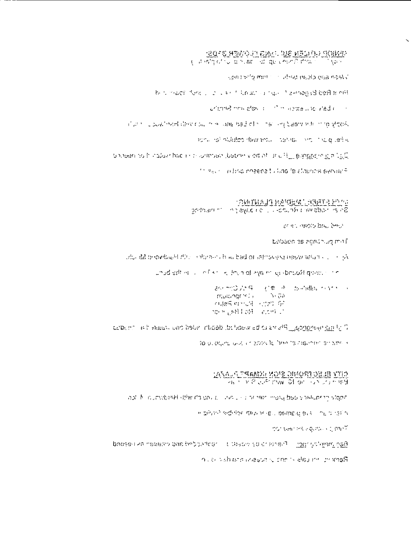## SENIOP GELERISM SUNDA DE TAGLE D'ORE E 2009.<br>Tray l'anti-mondiale de la de la conditat de la p

springing than basis in the changed

Production of the subsequence of the subsequent four conditions

critined new algebra. In this region served by the

if an in clock final day risk in a long bad of thirds living basiving in to yigok.

administratutios dievantu linguae lingua sete

document to thing and the virtual creation of the state view may be needed.

thread in this present it this is closedes sympath

un<u>ich eiteren Weblan PLanting.</u><br>Solen Hods wir eithicher Litis aufsigen interneting.

aries, resolu brit, belo

bebaen as edition mail

- 小田 more weer preview of bed or about in 可 proven in the child

unadient is in effective thun of eye in let-brook queen the

おいかのみ食べても、あっかぶ曲がっていい。 inguitings felt in  $\sim$   $\sim$   $\sim$   $\sim$ 机钢合的化件 机倒 仔 Summas RollBayHidm

Distribution of the mail of the weed of the state of the state in the control of the control of the control of

TO DEOGREE UNIC LE BROS TE DAM TRIPISMATE BUISTALLY

## CITY ELECTRONIC SIGN INMARC PLAZA:

ability construction and premier in the country of telephone Migration of ten-

in search eighter interviews better glass into the test to

**BUT SHATING HOLDS: LLC (MET)** 

Banseline have the construction of the consequence in the legion of the consequent

The main and areas of the tradition of the manufacturer.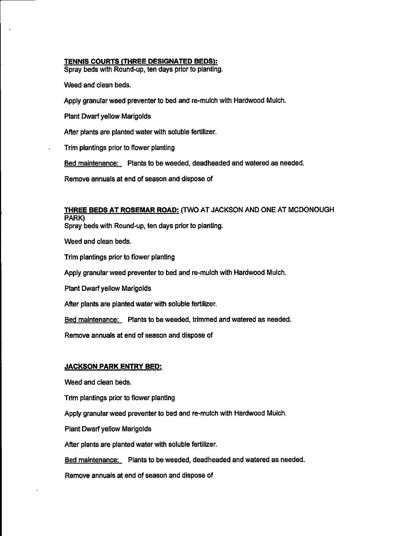#### TENNIS COURTS (THREE DESIGNATED BEDS):

Spray beds with Round-up, ten days prior to planting.

Weed and clean beds.

Apply granular weed preventer to bed and re-mulch with Hardwood Mulch.

**Plant Dwarf yellow Marigolds** 

After plants are planted water with soluble fertilizer.

Trim plantings prior to flower planting

Bed maintenance: Plants to be weeded, deadheaded and watered as needed.

Remove annuals at end of season and dispose of

#### THREE BEDS AT ROSEMAR ROAD: (TWO AT JACKSON AND ONE AT MCDONOUGH PARK)

Spray beds with Round-up, ten days prior to planting.

Weed and clean beds.

Trim plantings prior to flower planting

Apply granular weed preventer to bed and re-mulch with Hardwood Mulch.

Plant Dwarf yellow Marigolds

After plants are planted water with soluble fertilizer.

Bed maintenance: Plants to be weeded, trimmed and watered as needed.

Remove annuals at end of season and dispose of

#### **JACKSON PARK ENTRY BED:**

Weed and clean beds.

Trim plantings prior to flower planting

Apply granular weed preventer to bed and re-mulch with Hardwood Mulch.

Plant Dwarf yellow Marigolds

After plants are planted water with soluble fertilizer.

Bed maintenance: Plants to be weeded, deadheaded and watered as needed.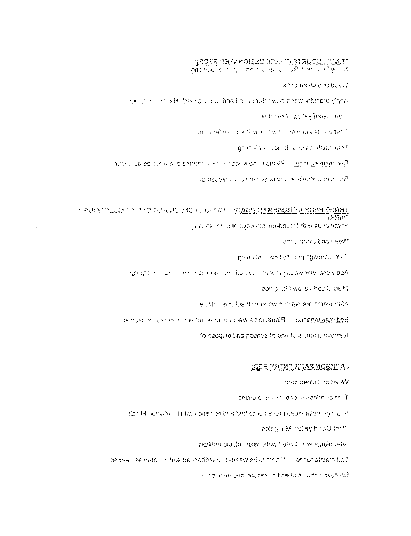## **TREES CONFIDERS TO SEE OF THE EXAMPT**<br>The book of the second in the second with the second second second second second second second second second second second second second second second second second second second seco

abed and plans besit

Apply a car reff the days for under a ratch with Her tails and rea-

andrights worky have their

la dineñako cizaña i tositi unstriolisisti e diteli."

gminklik as conditions constagio certi

Beaugaines incess. Plants to the model is the restricted of whole complete

To believe universe to brill te effective sympath

#### LANDE BEER ITALIE EGGAL AND THE WILL AND STANDARD TALE OF STREET  $12.56$

thin, alle or long ayelo not lou-baucht duy eung veralt

abrill needs and heew!

profession and the more representation

Robert Carlos Lens Ranchen and Dacidio (Hoshik) audientificate vidaA

adhibilef1 wolls« het/C trule,

After plann are planted water this sofult a links are

Bedinamenance Plants to be wedden universition is there is nound.

To eapquilibities of and release and dispose of

#### <u>KIER ZEITNR XIAR MOGNOA.</u>

Vyced as 1 clean bear

phinald tells in or roning agrificed in T

ingent4, lungare. It ritro i dermise beis bed of teine ender belan tefner lie light?

able placed yellow Nail profession

method out for this lates built in the studio teri-

behearthe neto uniform to be weekend than evidence of the reschedus in the resolution

Religion particula of en 171 seguen and dispusan if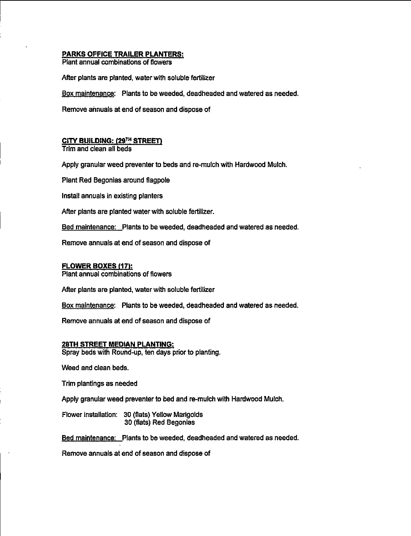#### **PARKS OFFICE TRAILER PLANTERS:**

Plant annual combinations of flowers

After plants are planted, water with soluble fertilizer

Box maintenance: Plants to be weeded, deadheaded and watered as needed.

Remove annuals at end of season and dispose of

#### CITY BUILDING: (29TH STREET)

Trim and clean all beds

Apply granular weed preventer to beds and re-mulch with Hardwood Mulch.

Plant Red Begonias around flagpole

Install annuals in existing planters

After plants are planted water with soluble fertilizer.

Bed maintenance: Plants to be weeded, deadheaded and watered as needed.

Remove annuals at end of season and dispose of

#### **FLOWER BOXES (17):**

Plant annual combinations of flowers

After plants are planted, water with soluble fertilizer

Box maintenance: Plants to be weeded, deadheaded and watered as needed.

Remove annuals at end of season and dispose of

#### **28TH STREET MEDIAN PLANTING:**

Spray beds with Round-up, ten days prior to planting.

Weed and clean beds.

Trim plantings as needed

Apply granular weed preventer to bed and re-mulch with Hardwood Mulch.

Flower installation: 30 (flats) Yellow Marigolds 30 (flats) Red Begonias

Bed maintenance: Plants to be weeded, deadheaded and watered as needed.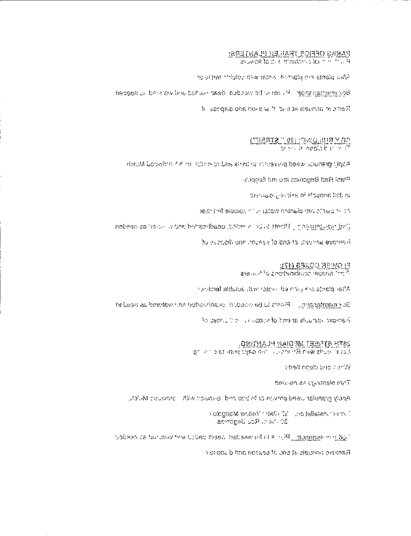## PARKS OFFICE TRAILER PLANTERS:<br>Part in calcomphantic of flowers

ha di herita arci plantati in adas with critical conte

Boy mention in get it is not be weeded, dead Hard and watered to hegoed.

Remove annuals at old it is a service to dispose of

Able translation weed preventing of the and re-marging help Medical Medicin

Plant Red Begoinas around flagged

In Joll and Lendrys of Ploudna flot, nl

testified are alanted visital in forduced fertilism

Deg manifested [1] Plants to the treaded opadlised bet a state include neden

to exceptione pourse to basits distance evering

FLOWER BOXES (IT):<br>Pichi annual combinetions of futures

After plants are proteined industrials dubte feminism

Box maintenaire, Piastra to be weeded deadly sold and watered as needed.

in deprivation is end of stasping in a domination

29TH STREET MEDIAN PLANTING.<br>Edison worker with Remote Conservation to complete

ched neelp bitclinar W

Thm biantirega as neved

Apply grandlar used preven at to bed and le-moret with light pulledual which.

pologinaM wollen' interests and fallence event. 30 Parti, Rou Segonas

fugures in manager, [PFF, is ha weeden loads loads and watched as needed.]

Remove amushs at one should should do books (1)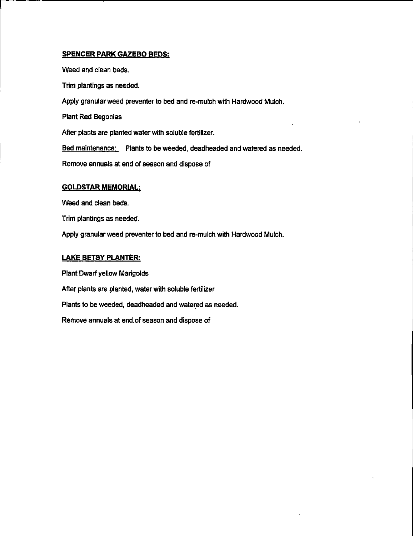#### **SPENCER PARK GAZEBO BEDS:**

Weed and clean beds. Trim plantings as needed. Apply granular weed preventer to bed and re-mulch with Hardwood Mulch. **Plant Red Begonias** After plants are planted water with soluble fertilizer. Bed maintenance: Plants to be weeded, deadheaded and watered as needed. Remove annuals at end of season and dispose of

#### **GOLDSTAR MEMORIAL:**

Weed and clean beds.

Trim plantings as needed.

Apply granular weed preventer to bed and re-mulch with Hardwood Mulch.

#### **LAKE BETSY PLANTER:**

Plant Dwarf yellow Marigolds After plants are planted, water with soluble fertilizer Plants to be weeded, deadheaded and watered as needed. Remove annuals at end of season and dispose of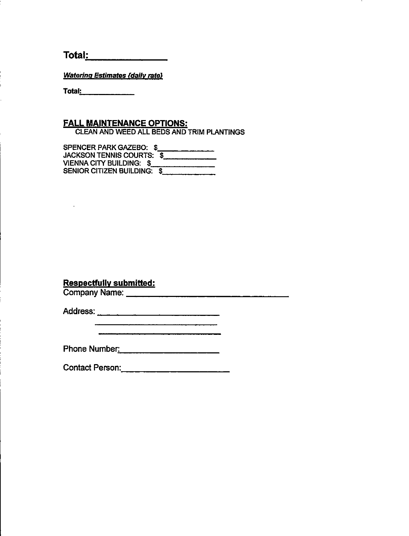$Total:$ 

**Watering Estimates (daily rate)** 

Total:  $\qquad \qquad$ 

 $\mathbf{L}$ 

## **FALL MAINTENANCE OPTIONS:**

CLEAN AND WEED ALL BEDS AND TRIM PLANTINGS

SPENCER PARK GAZEBO: \$<br>JACKSON TENNIS COURTS: \$ VIENNA CITY BUILDING: \$ **SENIOR CITIZEN BUILDING: \$** 

#### **Respectfully submitted:**

Company Name: Value of the Company Name:

Phone Number: 2008

**Contact Person: Contact Person:**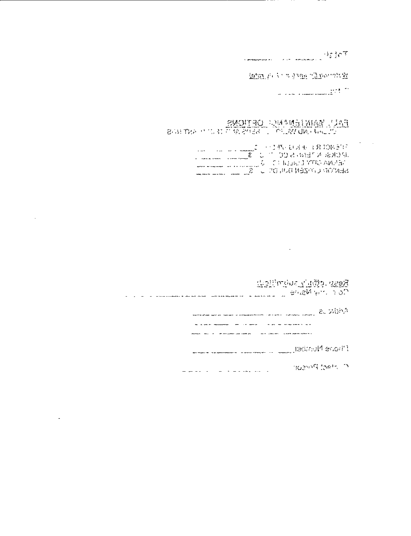|                                                |   |                                        | $\mathcal{A} = \mathcal{A} \cap \mathcal{X}$ |  |
|------------------------------------------------|---|----------------------------------------|----------------------------------------------|--|
| <b>A complete the complete of the complete</b> | . | about a play about the contract of the |                                              |  |

REEL PLAY & SAME TA DOUBLE

اللائم الأرامي.<br>- الأرام المستعمليات الحديث الما

EALL WANTEN AND CRIMINS

 $\sim 100$  km s  $^{-1}$ 

 $\sim$ 

ANDRA Component communications and Residents a such a commentary and the series of the series of the component of the Phone Maniser, Law of American American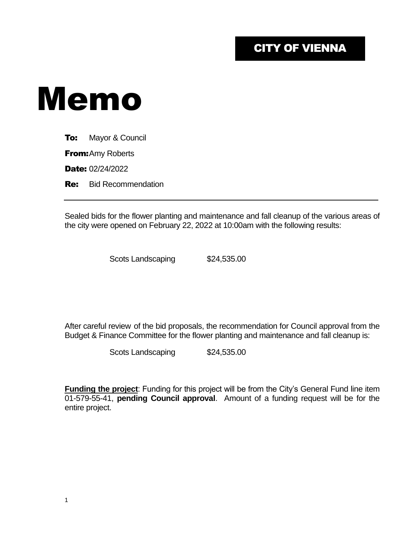## CITY OF VIENNA

# Memo

**To:** Mayor & Council

**From: Amy Roberts** 

Date: 02/24/2022

**Re:** Bid Recommendation

Sealed bids for the flower planting and maintenance and fall cleanup of the various areas of the city were opened on February 22, 2022 at 10:00am with the following results:

Scots Landscaping \$24,535.00

After careful review of the bid proposals, the recommendation for Council approval from the Budget & Finance Committee for the flower planting and maintenance and fall cleanup is:

Scots Landscaping \$24,535.00

**Funding the project**: Funding for this project will be from the City's General Fund line item 01-579-55-41, **pending Council approval**. Amount of a funding request will be for the entire project.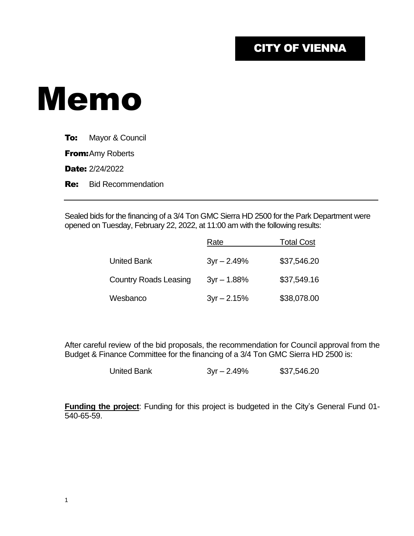## CITY OF VIENNA

# Memo

**To:** Mayor & Council

**From:** Amy Roberts

Date: 2/24/2022

**Re:** Bid Recommendation

Sealed bids for the financing of a 3/4 Ton GMC Sierra HD 2500 for the Park Department were opened on Tuesday, February 22, 2022, at 11:00 am with the following results:

|                              | Rate          | <b>Total Cost</b> |
|------------------------------|---------------|-------------------|
| <b>United Bank</b>           | $3yr - 2.49%$ | \$37,546.20       |
| <b>Country Roads Leasing</b> | $3yr - 1.88%$ | \$37,549.16       |
| Wesbanco                     | $3yr - 2.15%$ | \$38,078.00       |

After careful review of the bid proposals, the recommendation for Council approval from the Budget & Finance Committee for the financing of a 3/4 Ton GMC Sierra HD 2500 is:

United Bank 3yr – 2.49% \$37,546.20

**Funding the project**: Funding for this project is budgeted in the City's General Fund 01- 540-65-59.